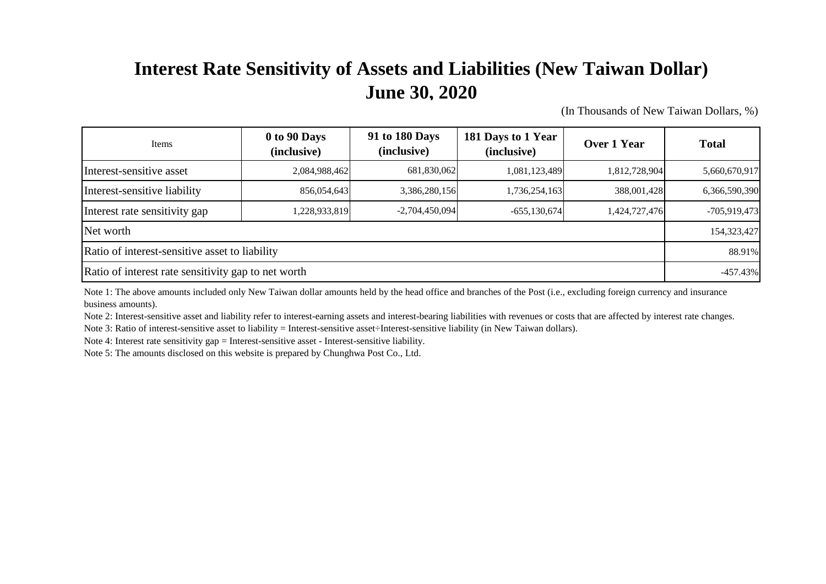## **Interest Rate Sensitivity of Assets and Liabilities (New Taiwan Dollar) June 30, 2020**

(In Thousands of New Taiwan Dollars, %)

| Items                                               | 0 to 90 Days<br>(inclusive) | 91 to 180 Days<br>(inclusive) | 181 Days to 1 Year<br>(inclusive) | Over 1 Year   | <b>Total</b>  |
|-----------------------------------------------------|-----------------------------|-------------------------------|-----------------------------------|---------------|---------------|
| Interest-sensitive asset                            | 2,084,988,462               | 681,830,062                   | 1,081,123,489                     | 1,812,728,904 | 5,660,670,917 |
| Interest-sensitive liability                        | 856,054,643                 | 3,386,280,156                 | 1,736,254,163                     | 388,001,428   | 6,366,590,390 |
| Interest rate sensitivity gap                       | 1,228,933,819               | $-2,704,450,094$              | $-655,130,674$                    | 1,424,727,476 | -705,919,473  |
| Net worth                                           |                             |                               |                                   |               |               |
| Ratio of interest-sensitive asset to liability      |                             |                               |                                   |               |               |
| Ratio of interest rate sensitivity gap to net worth |                             |                               |                                   |               |               |

Note 1: The above amounts included only New Taiwan dollar amounts held by the head office and branches of the Post (i.e., excluding foreign currency and insurance business amounts).

Note 2: Interest-sensitive asset and liability refer to interest-earning assets and interest-bearing liabilities with revenues or costs that are affected by interest rate changes. Note 3: Ratio of interest-sensitive asset to liability = Interest-sensitive asset÷Interest-sensitive liability (in New Taiwan dollars).

Note 4: Interest rate sensitivity gap = Interest-sensitive asset - Interest-sensitive liability.

Note 5: The amounts disclosed on this website is prepared by Chunghwa Post Co., Ltd.